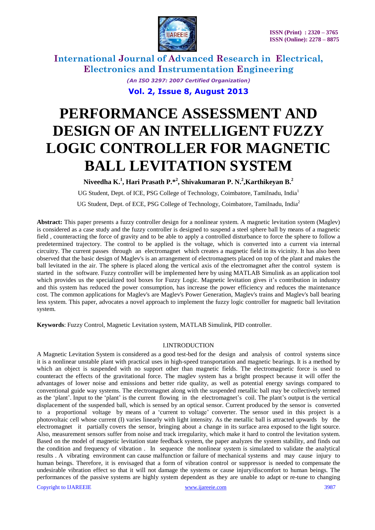

> *(An ISO 3297: 2007 Certified Organization)* **Vol. 2, Issue 8, August 2013**

# **PERFORMANCE ASSESSMENT AND DESIGN OF AN INTELLIGENT FUZZY LOGIC CONTROLLER FOR MAGNETIC BALL LEVITATION SYSTEM**

**Niveedha K. 1 , Hari Prasath P.\* 2 , Shivakumaran P. N. 2 ,Karthikeyan B. 2**

UG Student, Dept. of ICE, PSG College of Technology, Coimbatore, Tamilnadu, India<sup>1</sup>

UG Student, Dept. of ECE, PSG College of Technology, Coimbatore, Tamilnadu, India<sup>2</sup>

**Abstract:** This paper presents a fuzzy controller design for a nonlinear system. A magnetic levitation system (Maglev) is considered as a case study and the fuzzy controller is designed to suspend a steel sphere ball by means of a magnetic field , counteracting the force of gravity and to be able to apply a controlled disturbance to force the sphere to follow a predetermined trajectory. The control to be applied is the voltage, which is converted into a current via internal circuitry. The current passes through an electromagnet which creates a magnetic field in its vicinity. It has also been observed that the basic design of Maglev's is an arrangement of electromagnets placed on top of the plant and makes the ball levitated in the air. The sphere is placed along the vertical axis of the electromagnet after the control system is started in the software. Fuzzy controller will be implemented here by using MATLAB Simulink as an application tool which provides us the specialized tool boxes for Fuzzy Logic. Magnetic levitation gives it's contribution in industry and this system has reduced the power consumption, has increase the power efficiency and reduces the maintenance cost. The common applications for Maglev's are Maglev's Power Generation, Maglev's trains and Maglev's ball bearing less system. This paper, advocates a novel approach to implement the fuzzy logic controller for magnetic ball levitation system.

**Keywords**: Fuzzy Control, Magnetic Levitation system, MATLAB Simulink, PID controller.

#### I.INTRODUCTION

A Magnetic Levitation System is considered as a good test-bed for the design and analysis of control systems since it is a nonlinear unstable plant with practical uses in high-speed transportation and magnetic bearings. It is a method by which an object is suspended with no support other than magnetic fields. The electromagnetic force is used to counteract the effects of the gravitational force. The maglev system has a bright prospect because it will offer the advantages of lower noise and emissions and better ride quality, as well as potential energy savings compared to conventional guide way systems. The electromagnet along with the suspended metallic ball may be collectively termed as the "plant". Input to the "plant" is the current flowing in the electromagnet"s coil. The plant"s output is the vertical displacement of the suspended ball, which is sensed by an optical sensor. Current produced by the sensor is converted to a proportional voltage by means of a "current to voltage" converter. The sensor used in this project is a photovoltaic cell whose current (I) varies linearly with light intensity. As the metallic ball is attracted upwards by the electromagnet it partially covers the sensor, bringing about a change in its surface area exposed to the light source. Also, measurement sensors suffer from noise and track irregularity, which make it hard to control the levitation system. Based on the model of magnetic levitation state feedback system, the paper analyzes the system stability, and finds out the condition and frequency of vibration . In sequence the nonlinear system is simulated to validate the analytical results . A vibrating environment can cause malfunction or failure of mechanical systems and may cause injury to human beings. Therefore, it is envisaged that a form of vibration control or suppressor is needed to compensate the undesirable vibration effect so that it will not damage the systems or cause injury/discomfort to human beings. The performances of the passive systems are highly system dependent as they are unable to adapt or re-tune to changing

Copyright to IJAREEIE [www.ijareeie.com](http://www.ijareeie.com/) 3987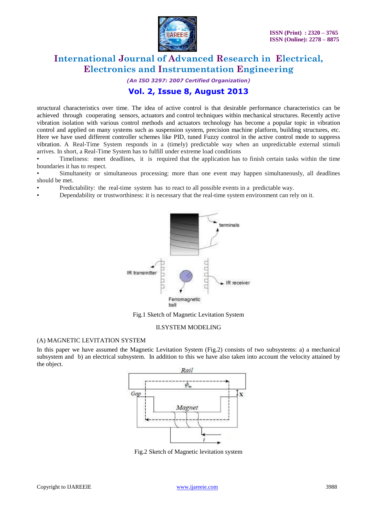

*(An ISO 3297: 2007 Certified Organization)*

### **Vol. 2, Issue 8, August 2013**

structural characteristics over time. The idea of active control is that desirable performance characteristics can be achieved through cooperating sensors, actuators and control techniques within mechanical structures. Recently active vibration isolation with various control methods and actuators technology has become a popular topic in vibration control and applied on many systems such as suspension system, precision machine platform, building structures, etc. Here we have used different controller schemes like PID, tuned Fuzzy control in the active control mode to suppress vibration. A Real-Time System responds in a (timely) predictable way when an unpredictable external stimuli arrives. In short, a Real-Time System has to fulfill under extreme load conditions

• Timeliness: meet deadlines, it is required that the application has to finish certain tasks within the time boundaries it has to respect.

Simultaneity or simultaneous processing: more than one event may happen simultaneously, all deadlines should be met.

- Predictability: the real-time system has to react to all possible events in a predictable way.
- Dependability or trustworthiness: it is necessary that the real-time system environment can rely on it.



Fig.1 Sketch of Magnetic Levitation System

#### II.SYSTEM MODELING

#### (A) MAGNETIC LEVITATION SYSTEM

In this paper we have assumed the Magnetic Levitation System (Fig.2) consists of two subsystems: a) a mechanical subsystem and b) an electrical subsystem. In addition to this we have also taken into account the velocity attained by the object.



Fig.2 Sketch of Magnetic levitation system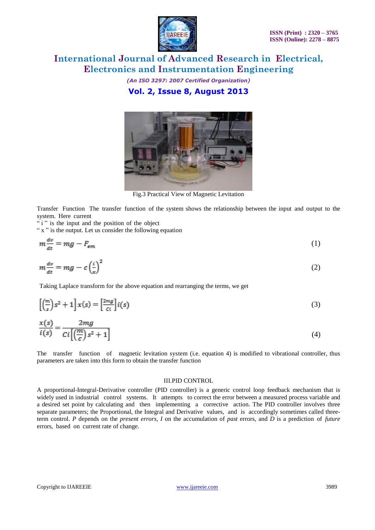

*(An ISO 3297: 2007 Certified Organization)* **Vol. 2, Issue 8, August 2013**



Fig.3 Practical View of Magnetic Levitation

Transfer Function The transfer function of the system shows the relationship between the input and output to the system. Here current

" i" is the input and the position of the object

" x " is the output. Let us consider the following equation

$$
m\frac{dv}{dt} = mg - F_{\rm em} \tag{1}
$$

$$
m\frac{dv}{dt} = mg - c\left(\frac{i}{x}\right)^2\tag{2}
$$

Taking Laplace transform for the above equation and rearranging the terms, we get

$$
\left[\left(\frac{m}{s}\right)s^2 + 1\right]x(s) = \left[\frac{2mg}{c_i}\right]i(s)
$$
\n(3)

$$
\frac{x(s)}{i(s)} = \frac{2mg}{Ci\left[\left(\frac{m}{c}\right)s^2 + 1\right]}
$$
(4)

The transfer function of magnetic levitation system (i.e. equation 4) is modified to vibrational controller, thus parameters are taken into this form to obtain the transfer function

#### III.PID CONTROL

A proportional-Integral-Derivative controller (PID controller) is a generic control loop feedback mechanism that is widely used in industrial control systems. It attempts to correct the error between a measured process variable and a desired set point by calculating and then implementing a corrective action. The PID controller involves three separate parameters; the Proportional, the Integral and Derivative values, and is accordingly sometimes called threeterm control. *P* depends on the *present errors*, *I* on the accumulation of *past* errors, and *D* is a prediction of *future* errors, based on current rate of change.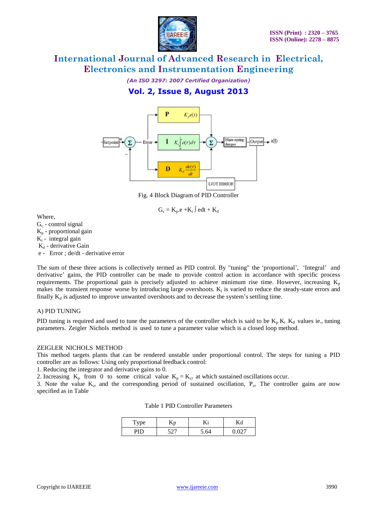

*(An ISO 3297: 2007 Certified Organization)*

# **Vol. 2, Issue 8, August 2013**



Fig. 4 Block Diagram of PID Controller

 $G_c = K_p.e + K_i \int e dt + K_d$ 

Where,

- $G<sub>c</sub>$  control signal
- $K_p$  proportional gain
- $K_i$  integral gain

 $K_d$  - derivative Gain

e - Error ; de/dt - derivative error

The sum of these three actions is collectively termed as PID control. By "tuning" the 'proportional', 'Integral' and derivative' gains, the PID controller can be made to provide control action in accordance with specific process requirements. The proportional gain is precisely adjusted to achieve minimum rise time. However, increasing  $K_p$ makes the transient response worse by introducing large overshoots.  $K_i$  is varied to reduce the steady-state errors and finally  $K_d$  is adjusted to improve unwanted overshoots and to decrease the system's settling time.

#### A) PID TUNING

PID tuning is required and used to tune the parameters of the controller which is said to be  $K_p K_i K_d$  values ie., tuning parameters. Zeigler Nichols method is used to tune a parameter value which is a closed loop method.

#### ZEIGLER NICHOLS METHOD

This method targets plants that can be rendered unstable under proportional control. The steps for tuning a PID controller are as follows: Using only proportional feedback control:

1. Reducing the integrator and derivative gains to 0.

2. Increasing  $K_p$  from 0 to some critical value  $K_p = K_{cr}$  at which sustained oscillations occur.

3. Note the value  $K_{cr}$  and the corresponding period of sustained oscillation,  $P_{cr}$  The controller gains are now specified as in Table

Table 1 PID Controller Parameters

| $\Gamma$ ype | n<br>-ANP | ry.   |        |
|--------------|-----------|-------|--------|
|              | $\sim$    | 64. آ | $\sim$ |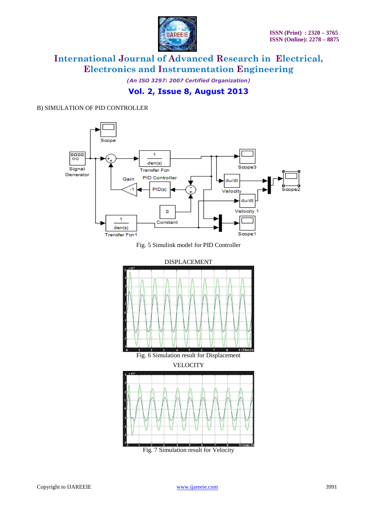

*(An ISO 3297: 2007 Certified Organization)*



#### B) SIMULATION OF PID CONTROLLER



Fig. 7 Simulation result for Velocity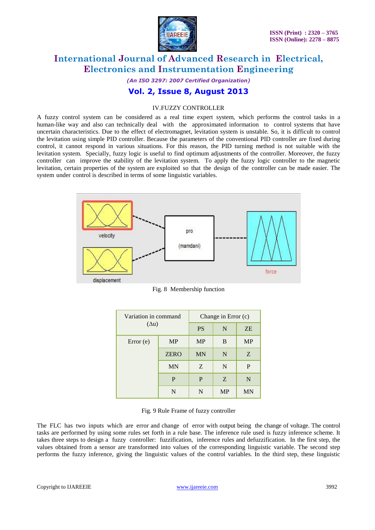

*(An ISO 3297: 2007 Certified Organization)*

### **Vol. 2, Issue 8, August 2013**

#### IV.FUZZY CONTROLLER

A fuzzy control system can be considered as a real time expert system, which performs the control tasks in a human-like way and also can technically deal with the approximated information to control systems that have uncertain characteristics. Due to the effect of electromagnet, levitation system is unstable. So, it is difficult to control the levitation using simple PID controller. Because the parameters of the conventional PID controller are fixed during control, it cannot respond in various situations. For this reason, the PID turning method is not suitable with the levitation system. Specially, fuzzy logic is useful to find optimum adjustments of the controller. Moreover, the fuzzy controller can improve the stability of the levitation system. To apply the fuzzy logic controller to the magnetic levitation, certain properties of the system are exploited so that the design of the controller can be made easier. The system under control is described in terms of some linguistic variables.



Fig. 8 Membership function

| Variation in command<br>$(\Delta u)$ |             | Change in Error (c) |           |           |
|--------------------------------------|-------------|---------------------|-----------|-----------|
|                                      |             | <b>PS</b>           | N         | <b>ZE</b> |
| Error(e)                             | <b>MP</b>   | <b>MP</b>           | B         | <b>MP</b> |
|                                      | <b>ZERO</b> | <b>MN</b>           | N         | Z         |
|                                      | <b>MN</b>   | Z                   | N         | P         |
|                                      | P           | P                   | Z         | N         |
|                                      | N           | N                   | <b>MP</b> | MN        |

Fig. 9 Rule Frame of fuzzy controller

The FLC has two inputs which are error and change of error with output being the change of voltage. The control tasks are performed by using some rules set forth in a rule base. The inference rule used is fuzzy inference scheme. It takes three steps to design a fuzzy controller: fuzzification, inference rules and defuzzification. In the first step, the values obtained from a sensor are transformed into values of the corresponding linguistic variable. The second step performs the fuzzy inference, giving the linguistic values of the control variables. In the third step, these linguistic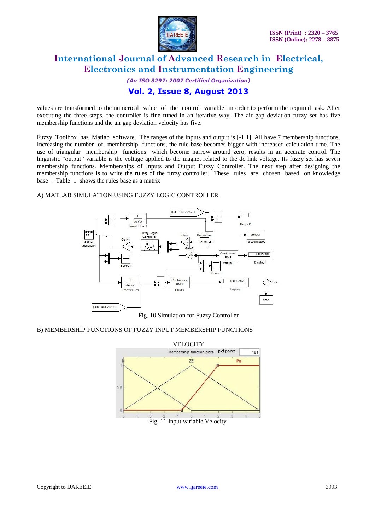

*(An ISO 3297: 2007 Certified Organization)*

# **Vol. 2, Issue 8, August 2013**

values are transformed to the numerical value of the control variable in order to perform the required task. After executing the three steps, the controller is fine tuned in an iterative way. The air gap deviation fuzzy set has five membership functions and the air gap deviation velocity has five.

Fuzzy Toolbox has Matlab software. The ranges of the inputs and output is [-1 1]. All have 7 membership functions. Increasing the number of membership functions, the rule base becomes bigger with increased calculation time. The use of triangular membership functions which become narrow around zero, results in an accurate control. The linguistic "output" variable is the voltage applied to the magnet related to the dc link voltage. Its fuzzy set has seven membership functions. Memberships of Inputs and Output Fuzzy Controller. The next step after designing the membership functions is to write the rules of the fuzzy controller. These rules are chosen based on knowledge base . Table 1 shows the rules base as a matrix

#### A) MATLAB SIMULATION USING FUZZY LOGIC CONTROLLER



Fig. 10 Simulation for Fuzzy Controller

#### B) MEMBERSHIP FUNCTIONS OF FUZZY INPUT MEMBERSHIP FUNCTIONS

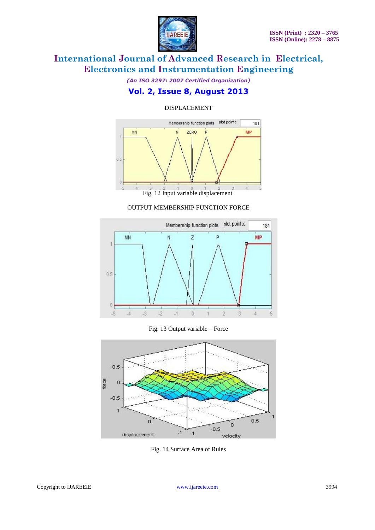

*(An ISO 3297: 2007 Certified Organization)*

### **Vol. 2, Issue 8, August 2013**

#### DISPLACEMENT



Fig. 12 Input variable displacement

#### OUTPUT MEMBERSHIP FUNCTION FORCE



#### Fig. 13 Output variable – Force



Fig. 14 Surface Area of Rules